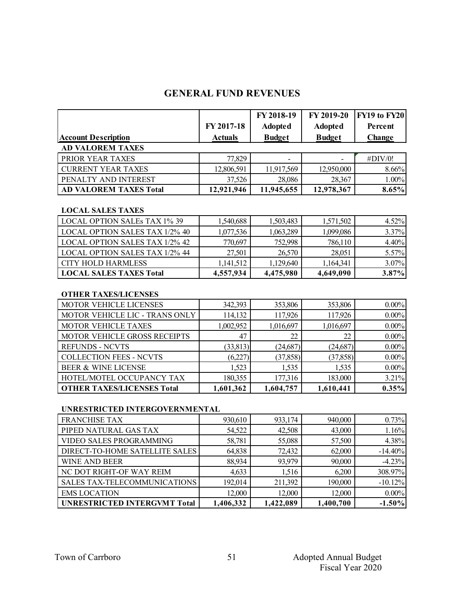# **GENERAL FUND REVENUES**

|                               |                | FY 2018-19               | FY 2019-20     | <b>FY19 to FY20</b> |  |
|-------------------------------|----------------|--------------------------|----------------|---------------------|--|
|                               | FY 2017-18     | <b>Adopted</b>           | <b>Adopted</b> | Percent             |  |
| <b>Account Description</b>    | <b>Actuals</b> | <b>Budget</b>            | <b>Budget</b>  | <b>Change</b>       |  |
| <b>AD VALOREM TAXES</b>       |                |                          |                |                     |  |
| PRIOR YEAR TAXES              | 77,829         | $\overline{\phantom{0}}$ |                | $\#$ DIV/0!         |  |
| <b>CURRENT YEAR TAXES</b>     | 12,806,591     | 11,917,569               | 12,950,000     | 8.66%               |  |
| PENALTY AND INTEREST          | 37,526         | 28,086                   | 28,367         | 1.00%               |  |
| <b>AD VALOREM TAXES Total</b> | 12,921,946     | 11,945,655               | 12,978,367     | 8.65%               |  |

#### **LOCAL SALES TAXES**

| <b>LOCAL OPTION SALEs TAX 1% 39</b>   | 1,540,688 | 1,503,483 | 1,571,502 | 4.52%    |
|---------------------------------------|-----------|-----------|-----------|----------|
| <b>LOCAL OPTION SALES TAX 1/2% 40</b> | 1,077,536 | 1,063,289 | 1,099,086 | $3.37\%$ |
| <b>LOCAL OPTION SALES TAX 1/2% 42</b> | 770,697   | 752,998   | 786,110   | 4.40%    |
| <b>LOCAL OPTION SALES TAX 1/2% 44</b> | 27,501    | 26,570    | 28,051    | 5.57%    |
| CITY HOLD HARMLESS                    | 1,141,512 | 1,129,640 | 1,164,341 | 3.07%    |
| <b>LOCAL SALES TAXES Total</b>        | 4,557,934 | 4,475,980 | 4,649,090 | 3.87%    |

#### **OTHER TAXES/LICENSES**

| <b>MOTOR VEHICLE LICENSES</b>     | 342,393   | 353,806   | 353,806   | 0.00%    |
|-----------------------------------|-----------|-----------|-----------|----------|
| MOTOR VEHICLE LIC - TRANS ONLY    | 114,132   | 117,926   | 117,926   | 0.00%    |
| <b>MOTOR VEHICLE TAXES</b>        | 1,002,952 | 1,016,697 | 1,016,697 | 0.00%    |
| MOTOR VEHICLE GROSS RECEIPTS      | 47        | 22        | 22        | $0.00\%$ |
| <b>REFUNDS - NCVTS</b>            | (33, 813) | (24, 687) | (24, 687) | $0.00\%$ |
| <b>COLLECTION FEES - NCVTS</b>    | (6,227)   | (37, 858) | (37, 858) | $0.00\%$ |
| <b>BEER &amp; WINE LICENSE</b>    | 1,523     | 1,535     | 1,535     | $0.00\%$ |
| HOTEL/MOTEL OCCUPANCY TAX         | 180,355   | 177,316   | 183,000   | 3.21%    |
| <b>OTHER TAXES/LICENSES Total</b> | 1,601,362 | 1,604,757 | 1,610,441 | 0.35%    |

#### **UNRESTRICTED INTERGOVERNMENTAL**

| <b>FRANCHISE TAX</b>                | 930,610   | 933,174   | 940,000   | 0.73%     |
|-------------------------------------|-----------|-----------|-----------|-----------|
| PIPED NATURAL GAS TAX               | 54,522    | 42,508    | 43,000    | 1.16%     |
| VIDEO SALES PROGRAMMING             | 58,781    | 55,088    | 57,500    | 4.38%     |
| DIRECT-TO-HOME SATELLITE SALES      | 64,838    | 72,432    | 62,000    | $-14.40%$ |
| <b>WINE AND BEER</b>                | 88,934    | 93,979    | 90,000    | $-4.23%$  |
| NC DOT RIGHT-OF WAY REIM            | 4,633     | 1,516     | 6,200     | 308.97%   |
| SALES TAX-TELECOMMUNICATIONS        | 192,014   | 211,392   | 190,000   | $-10.12%$ |
| <b>EMS LOCATION</b>                 | 12,000    | 12,000    | 12,000    | $0.00\%$  |
| <b>UNRESTRICTED INTERGVMT Total</b> | 1,406,332 | 1,422,089 | 1,400,700 | $-1.50%$  |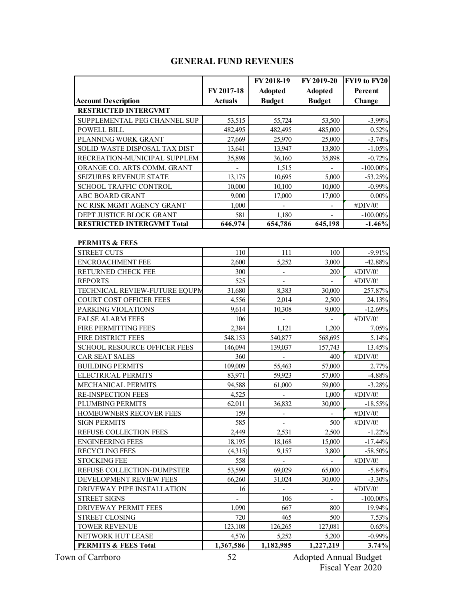## **GENERAL FUND REVENUES**

|                                   | FY 2018-19                                       |                          | FY 2019-20     | FY19 to FY20 |  |
|-----------------------------------|--------------------------------------------------|--------------------------|----------------|--------------|--|
|                                   | FY 2017-18<br><b>Adopted</b>                     |                          | <b>Adopted</b> | Percent      |  |
| <b>Account Description</b>        | <b>Budget</b><br><b>Budget</b><br><b>Actuals</b> |                          | Change         |              |  |
| <b>RESTRICTED INTERGVMT</b>       |                                                  |                          |                |              |  |
| SUPPLEMENTAL PEG CHANNEL SUP      | 53,515                                           | 55,724                   | 53,500         | $-3.99\%$    |  |
| POWELL BILL                       | 482,495                                          | 482,495                  | 485,000        | 0.52%        |  |
| PLANNING WORK GRANT               | 27,669                                           | 25,970                   | 25,000         | $-3.74%$     |  |
| SOLID WASTE DISPOSAL TAX DIST     | 13,641                                           | 13,947                   | 13,800         | $-1.05%$     |  |
| RECREATION-MUNICIPAL SUPPLEM      | 35,898                                           | 36,160                   | 35,898         | $-0.72%$     |  |
| ORANGE CO. ARTS COMM. GRANT       |                                                  | 1,515                    |                | $-100.00\%$  |  |
| SEIZURES REVENUE STATE            | 13,175                                           | 10,695                   | 5,000          | $-53.25%$    |  |
| SCHOOL TRAFFIC CONTROL            | 10,000                                           | 10,100                   | 10,000         | $-0.99%$     |  |
| ABC BOARD GRANT                   | 9,000                                            | 17,000                   | 17,000         | $0.00\%$     |  |
| NC RISK MGMT AGENCY GRANT         | 1,000                                            |                          |                | #DIV/0!      |  |
| DEPT JUSTICE BLOCK GRANT          | 581                                              | 1,180                    |                | $-100.00\%$  |  |
| <b>RESTRICTED INTERGVMT Total</b> | 646,974                                          | 654,786                  | 645,198        | $-1.46%$     |  |
|                                   |                                                  |                          |                |              |  |
| PERMITS & FEES                    |                                                  |                          |                |              |  |
| <b>STREET CUTS</b>                | 110                                              | 111                      | 100            | $-9.91%$     |  |
| <b>ENCROACHMENT FEE</b>           | 2,600                                            | 5,252                    | 3,000          | $-42.88%$    |  |
| RETURNED CHECK FEE                | 300                                              |                          | 200            | #DIV/0!      |  |
| <b>REPORTS</b>                    | 525                                              |                          |                | #DIV/0!      |  |
| TECHNICAL REVIEW-FUTURE EQUPM     | 31,680                                           | 8,383                    | 30,000         | 257.87%      |  |
| COURT COST OFFICER FEES           | 4,556                                            | 2,014                    | 2,500          | 24.13%       |  |
| PARKING VIOLATIONS                | 9,614                                            | 10,308                   | 9,000          | $-12.69%$    |  |
| <b>FALSE ALARM FEES</b>           | 106                                              | $\frac{1}{2}$            |                | #DIV/0!      |  |
| FIRE PERMITTING FEES              | 2,384                                            | 1,121                    | 1,200          | 7.05%        |  |
| FIRE DISTRICT FEES                | 548,153                                          | 540,877                  | 568,695        | 5.14%        |  |
| SCHOOL RESOURCE OFFICER FEES      | 146,094                                          | 139,037                  | 157,743        | 13.45%       |  |
| CAR SEAT SALES                    | 360                                              |                          | 400            | #DIV/0!      |  |
| <b>BUILDING PERMITS</b>           | 109,009                                          | 55,463                   | 57,000         | 2.77%        |  |
| ELECTRICAL PERMITS                | 83,971                                           | 59,923                   | 57,000         | $-4.88%$     |  |
| MECHANICAL PERMITS                | 94,588                                           | 61,000                   | 59,000         | $-3.28%$     |  |
| <b>RE-INSPECTION FEES</b>         | 4,525                                            |                          | 1,000          | #DIV/0!      |  |
| PLUMBING PERMITS                  | 62,011                                           | 36,832                   | 30,000         | $-18.55%$    |  |
| HOMEOWNERS RECOVER FEES           | 159                                              | $\overline{\phantom{a}}$ |                | #DIV/0!      |  |
| <b>SIGN PERMITS</b>               | 585                                              | $\overline{\phantom{a}}$ | 500            | #DIV/0!      |  |
| REFUSE COLLECTION FEES            | 2,449                                            | 2,531                    | 2,500          | $-1.22%$     |  |
| <b>ENGINEERING FEES</b>           | 18,195                                           | 18,168                   | 15,000         | $-17.44%$    |  |
| <b>RECYCLING FEES</b>             | (4,315)                                          | 9,157                    | 3,800          | $-58.50%$    |  |
| <b>STOCKING FEE</b>               | 558                                              |                          |                | #DIV/0!      |  |
| REFUSE COLLECTION-DUMPSTER        | 53,599                                           | 69,029                   | 65,000         | $-5.84%$     |  |
| DEVELOPMENT REVIEW FEES           | 66,260                                           | 31,024                   | 30,000         | $-3.30%$     |  |
| DRIVEWAY PIPE INSTALLATION        | 16                                               |                          |                | #DIV/0!      |  |
| <b>STREET SIGNS</b>               |                                                  | 106                      |                | $-100.00\%$  |  |
| DRIVEWAY PERMIT FEES              | 1,090                                            | 667                      | 800            | 19.94%       |  |
| <b>STREET CLOSING</b>             | 720                                              | 465                      | 500            | 7.53%        |  |
| <b>TOWER REVENUE</b>              | 123,108                                          | 126,265                  | 127,081        | 0.65%        |  |
| NETWORK HUT LEASE                 | 4,576                                            | 5,252                    | 5,200          | $-0.99%$     |  |
| <b>PERMITS &amp; FEES Total</b>   | 1,367,586                                        | 1,182,985                | 1,227,219      | 3.74%        |  |

Town of Carrboro **Adopted Annual Budget** 52 Adopted Annual Budget Fiscal Year 2020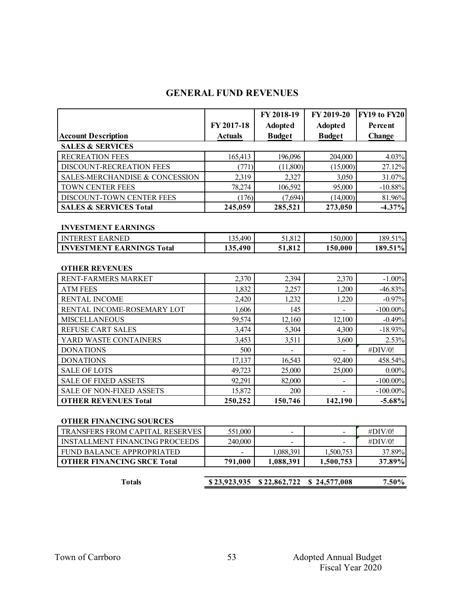# **GENERAL FUND REVENUES**

|                                       |                              | FY 2018-19     | FY 2019-20               | FY19 to FY20 |
|---------------------------------------|------------------------------|----------------|--------------------------|--------------|
|                                       | FY 2017-18<br><b>Adopted</b> |                | <b>Adopted</b>           | Percent      |
| <b>Account Description</b>            | <b>Actuals</b>               | <b>Budget</b>  | <b>Budget</b>            | Change       |
| <b>SALES &amp; SERVICES</b>           |                              |                |                          |              |
| <b>RECREATION FEES</b>                | 165,413                      | 196,096        | 204,000                  | 4.03%        |
| DISCOUNT-RECREATION FEES              | (771)                        | (11,800)       | (15,000)                 | 27.12%       |
| SALES-MERCHANDISE & CONCESSION        | 2,319                        | 2,327          | 3,050                    | 31.07%       |
| TOWN CENTER FEES                      | 78,274                       | 106,592        | 95,000                   | $-10.88%$    |
| DISCOUNT-TOWN CENTER FEES             | (176)                        | (7,694)        | (14,000)                 | 81.96%       |
| <b>SALES &amp; SERVICES Total</b>     | 245,059                      | 285,521        | 273,050                  | $-4.37\%$    |
|                                       |                              |                |                          |              |
| <b>INVESTMENT EARNINGS</b>            |                              |                |                          |              |
| <b>INTEREST EARNED</b>                | 135,490                      | 51,812         | 150,000                  | 189.51%      |
| <b>INVESTMENT EARNINGS Total</b>      | 135,490                      | 51,812         | 150,000                  | 189.51%      |
|                                       |                              |                |                          |              |
| <b>OTHER REVENUES</b>                 |                              |                |                          |              |
| RENT-FARMERS MARKET                   | 2,370                        | 2,394          | 2,370                    | $-1.00%$     |
| <b>ATM FEES</b>                       | 1,832                        | 2,257          | 1,200                    | $-46.83%$    |
| <b>RENTAL INCOME</b>                  | 2,420                        | 1,232          | 1,220                    | $-0.97%$     |
| RENTAL INCOME-ROSEMARY LOT            | 1,606                        | 145            |                          | $-100.00\%$  |
| <b>MISCELLANEOUS</b>                  | 59,574                       | 12,160         | 12,100                   | $-0.49%$     |
| REFUSE CART SALES                     | 3,474                        | 5,304          | 4,300                    | $-18.93%$    |
| YARD WASTE CONTAINERS                 | 3,453                        | 3,511          | 3,600                    | 2.53%        |
| <b>DONATIONS</b>                      | 500                          | $\overline{a}$ | $\overline{\phantom{0}}$ | #DIV/0!      |
| <b>DONATIONS</b>                      | 17,137                       | 16,543         | 92,400                   | 458.54%      |
| <b>SALE OF LOTS</b>                   | 49,723                       | 25,000         | 25,000                   | $0.00\%$     |
| <b>SALE OF FIXED ASSETS</b>           | 92,291                       | 82,000         | $\overline{\phantom{a}}$ | $-100.00\%$  |
| <b>SALE OF NON-FIXED ASSETS</b>       | 15,872                       | 200            |                          | $-100.00\%$  |
| <b>OTHER REVENUES Total</b>           | 250,252                      | 150,746        | 142,190                  | $-5.68%$     |
|                                       |                              |                |                          |              |
| <b>OTHER FINANCING SOURCES</b>        |                              |                |                          |              |
| TRANSFERS FROM CAPITAL RESERVES       | 551,000                      | $\overline{a}$ | $\overline{a}$           | #DIV/0!      |
| <b>INSTALLMENT FINANCING PROCEEDS</b> | 240,000                      |                |                          | #DIV/0!      |
| FUND BALANCE APPROPRIATED             |                              | 1,088,391      | 1,500,753                | 37.89%       |
| <b>OTHER FINANCING SRCE Total</b>     | 791,000                      | 1,088,391      | 1,500,753                | 37.89%       |

| Totals |  | $$23,923,935$ $$22,862,722$ $$24,577,008$ | 7.50% |
|--------|--|-------------------------------------------|-------|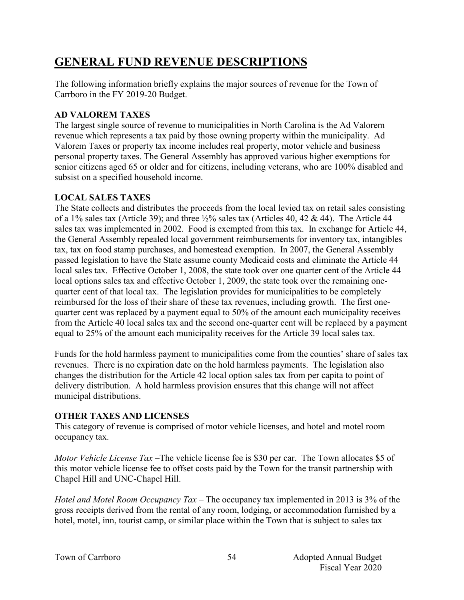# **GENERAL FUND REVENUE DESCRIPTIONS**

The following information briefly explains the major sources of revenue for the Town of Carrboro in the FY 2019-20 Budget.

## **AD VALOREM TAXES**

The largest single source of revenue to municipalities in North Carolina is the Ad Valorem revenue which represents a tax paid by those owning property within the municipality. Ad Valorem Taxes or property tax income includes real property, motor vehicle and business personal property taxes. The General Assembly has approved various higher exemptions for senior citizens aged 65 or older and for citizens, including veterans, who are 100% disabled and subsist on a specified household income.

## **LOCAL SALES TAXES**

The State collects and distributes the proceeds from the local levied tax on retail sales consisting of a 1% sales tax (Article 39); and three  $\frac{1}{2}$ % sales tax (Articles 40, 42 & 44). The Article 44 sales tax was implemented in 2002. Food is exempted from this tax. In exchange for Article 44, the General Assembly repealed local government reimbursements for inventory tax, intangibles tax, tax on food stamp purchases, and homestead exemption. In 2007, the General Assembly passed legislation to have the State assume county Medicaid costs and eliminate the Article 44 local sales tax. Effective October 1, 2008, the state took over one quarter cent of the Article 44 local options sales tax and effective October 1, 2009, the state took over the remaining onequarter cent of that local tax. The legislation provides for municipalities to be completely reimbursed for the loss of their share of these tax revenues, including growth. The first onequarter cent was replaced by a payment equal to 50% of the amount each municipality receives from the Article 40 local sales tax and the second one-quarter cent will be replaced by a payment equal to 25% of the amount each municipality receives for the Article 39 local sales tax.

Funds for the hold harmless payment to municipalities come from the counties' share of sales tax revenues. There is no expiration date on the hold harmless payments. The legislation also changes the distribution for the Article 42 local option sales tax from per capita to point of delivery distribution. A hold harmless provision ensures that this change will not affect municipal distributions.

#### **OTHER TAXES AND LICENSES**

This category of revenue is comprised of motor vehicle licenses, and hotel and motel room occupancy tax.

*Motor Vehicle License Tax* –The vehicle license fee is \$30 per car. The Town allocates \$5 of this motor vehicle license fee to offset costs paid by the Town for the transit partnership with Chapel Hill and UNC-Chapel Hill.

*Hotel and Motel Room Occupancy Tax* – The occupancy tax implemented in 2013 is 3% of the gross receipts derived from the rental of any room, lodging, or accommodation furnished by a hotel, motel, inn, tourist camp, or similar place within the Town that is subject to sales tax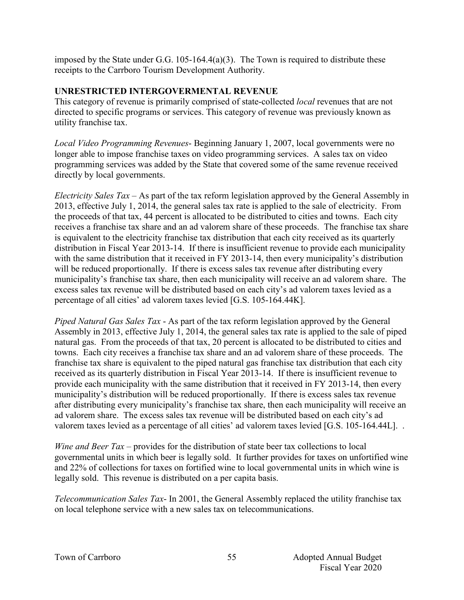imposed by the State under G.G.  $105-164.4(a)(3)$ . The Town is required to distribute these receipts to the Carrboro Tourism Development Authority.

#### **UNRESTRICTED INTERGOVERMENTAL REVENUE**

This category of revenue is primarily comprised of state-collected *local* revenues that are not directed to specific programs or services. This category of revenue was previously known as utility franchise tax.

*Local Video Programming Revenues*- Beginning January 1, 2007, local governments were no longer able to impose franchise taxes on video programming services. A sales tax on video programming services was added by the State that covered some of the same revenue received directly by local governments.

*Electricity Sales Tax* – As part of the tax reform legislation approved by the General Assembly in 2013, effective July 1, 2014, the general sales tax rate is applied to the sale of electricity. From the proceeds of that tax, 44 percent is allocated to be distributed to cities and towns. Each city receives a franchise tax share and an ad valorem share of these proceeds. The franchise tax share is equivalent to the electricity franchise tax distribution that each city received as its quarterly distribution in Fiscal Year 2013-14. If there is insufficient revenue to provide each municipality with the same distribution that it received in FY 2013-14, then every municipality's distribution will be reduced proportionally. If there is excess sales tax revenue after distributing every municipality's franchise tax share, then each municipality will receive an ad valorem share. The excess sales tax revenue will be distributed based on each city's ad valorem taxes levied as a percentage of all cities' ad valorem taxes levied [G.S. 105-164.44K].

*Piped Natural Gas Sales Tax* - As part of the tax reform legislation approved by the General Assembly in 2013, effective July 1, 2014, the general sales tax rate is applied to the sale of piped natural gas. From the proceeds of that tax, 20 percent is allocated to be distributed to cities and towns. Each city receives a franchise tax share and an ad valorem share of these proceeds. The franchise tax share is equivalent to the piped natural gas franchise tax distribution that each city received as its quarterly distribution in Fiscal Year 2013-14. If there is insufficient revenue to provide each municipality with the same distribution that it received in FY 2013-14, then every municipality's distribution will be reduced proportionally. If there is excess sales tax revenue after distributing every municipality's franchise tax share, then each municipality will receive an ad valorem share. The excess sales tax revenue will be distributed based on each city's ad valorem taxes levied as a percentage of all cities' ad valorem taxes levied [G.S. 105-164.44L]. .

*Wine and Beer Tax* – provides for the distribution of state beer tax collections to local governmental units in which beer is legally sold. It further provides for taxes on unfortified wine and 22% of collections for taxes on fortified wine to local governmental units in which wine is legally sold. This revenue is distributed on a per capita basis.

*Telecommunication Sales Tax*- In 2001, the General Assembly replaced the utility franchise tax on local telephone service with a new sales tax on telecommunications.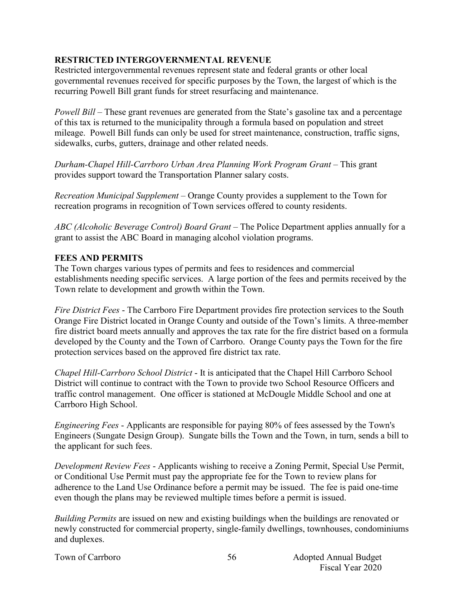## **RESTRICTED INTERGOVERNMENTAL REVENUE**

Restricted intergovernmental revenues represent state and federal grants or other local governmental revenues received for specific purposes by the Town, the largest of which is the recurring Powell Bill grant funds for street resurfacing and maintenance.

*Powell Bill* – These grant revenues are generated from the State's gasoline tax and a percentage of this tax is returned to the municipality through a formula based on population and street mileage. Powell Bill funds can only be used for street maintenance, construction, traffic signs, sidewalks, curbs, gutters, drainage and other related needs.

*Durham-Chapel Hill-Carrboro Urban Area Planning Work Program Grant* – This grant provides support toward the Transportation Planner salary costs.

*Recreation Municipal Supplement –* Orange County provides a supplement to the Town for recreation programs in recognition of Town services offered to county residents.

*ABC (Alcoholic Beverage Control) Board Grant* – The Police Department applies annually for a grant to assist the ABC Board in managing alcohol violation programs.

#### **FEES AND PERMITS**

The Town charges various types of permits and fees to residences and commercial establishments needing specific services. A large portion of the fees and permits received by the Town relate to development and growth within the Town.

*Fire District Fees* - The Carrboro Fire Department provides fire protection services to the South Orange Fire District located in Orange County and outside of the Town's limits. A three-member fire district board meets annually and approves the tax rate for the fire district based on a formula developed by the County and the Town of Carrboro. Orange County pays the Town for the fire protection services based on the approved fire district tax rate.

*Chapel Hill-Carrboro School District* - It is anticipated that the Chapel Hill Carrboro School District will continue to contract with the Town to provide two School Resource Officers and traffic control management. One officer is stationed at McDougle Middle School and one at Carrboro High School.

*Engineering Fees* - Applicants are responsible for paying 80% of fees assessed by the Town's Engineers (Sungate Design Group). Sungate bills the Town and the Town, in turn, sends a bill to the applicant for such fees.

*Development Review Fees* - Applicants wishing to receive a Zoning Permit, Special Use Permit, or Conditional Use Permit must pay the appropriate fee for the Town to review plans for adherence to the Land Use Ordinance before a permit may be issued. The fee is paid one-time even though the plans may be reviewed multiple times before a permit is issued.

*Building Permits* are issued on new and existing buildings when the buildings are renovated or newly constructed for commercial property, single-family dwellings, townhouses, condominiums and duplexes.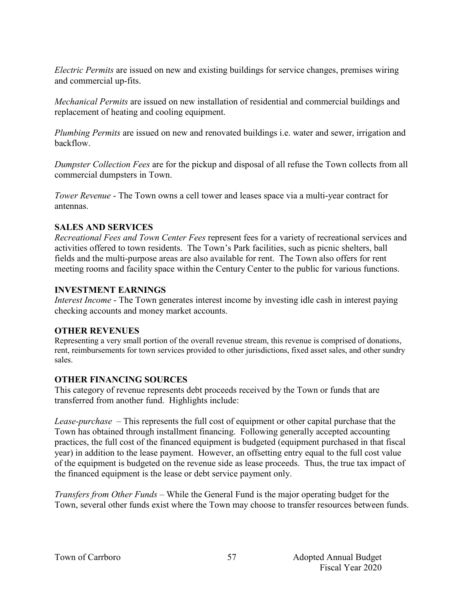*Electric Permits* are issued on new and existing buildings for service changes, premises wiring and commercial up-fits.

*Mechanical Permits* are issued on new installation of residential and commercial buildings and replacement of heating and cooling equipment.

*Plumbing Permits* are issued on new and renovated buildings i.e. water and sewer, irrigation and backflow.

*Dumpster Collection Fees* are for the pickup and disposal of all refuse the Town collects from all commercial dumpsters in Town.

*Tower Revenue* - The Town owns a cell tower and leases space via a multi-year contract for antennas.

#### **SALES AND SERVICES**

*Recreational Fees and Town Center Fees* represent fees for a variety of recreational services and activities offered to town residents. The Town's Park facilities, such as picnic shelters, ball fields and the multi-purpose areas are also available for rent. The Town also offers for rent meeting rooms and facility space within the Century Center to the public for various functions.

#### **INVESTMENT EARNINGS**

*Interest Income* - The Town generates interest income by investing idle cash in interest paying checking accounts and money market accounts.

#### **OTHER REVENUES**

Representing a very small portion of the overall revenue stream, this revenue is comprised of donations, rent, reimbursements for town services provided to other jurisdictions, fixed asset sales, and other sundry sales.

#### **OTHER FINANCING SOURCES**

This category of revenue represents debt proceeds received by the Town or funds that are transferred from another fund. Highlights include:

*Lease-purchase –* This represents the full cost of equipment or other capital purchase that the Town has obtained through installment financing. Following generally accepted accounting practices, the full cost of the financed equipment is budgeted (equipment purchased in that fiscal year) in addition to the lease payment. However, an offsetting entry equal to the full cost value of the equipment is budgeted on the revenue side as lease proceeds. Thus, the true tax impact of the financed equipment is the lease or debt service payment only.

*Transfers from Other Funds –* While the General Fund is the major operating budget for the Town, several other funds exist where the Town may choose to transfer resources between funds.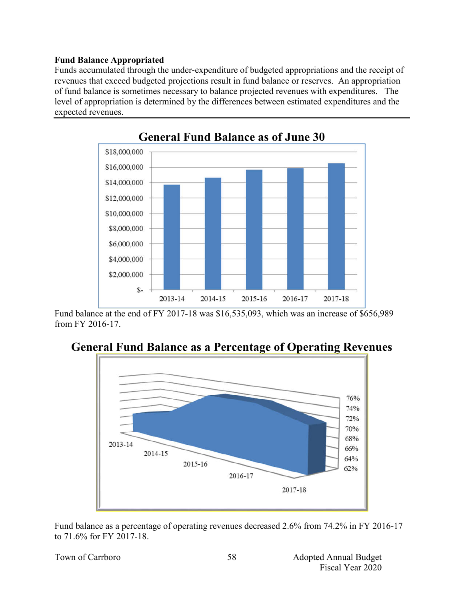#### **Fund Balance Appropriated**

Funds accumulated through the under-expenditure of budgeted appropriations and the receipt of revenues that exceed budgeted projections result in fund balance or reserves. An appropriation of fund balance is sometimes necessary to balance projected revenues with expenditures. The level of appropriation is determined by the differences between estimated expenditures and the expected revenues.



Fund balance at the end of FY 2017-18 was \$16,535,093, which was an increase of \$656,989 from FY 2016-17.





Fund balance as a percentage of operating revenues decreased 2.6% from 74.2% in FY 2016-17 to 71.6% for FY 2017-18.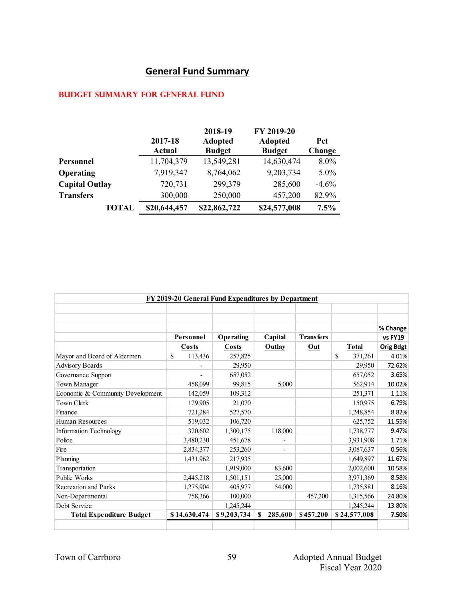# **General Fund Summary**

# **Budget summary for general fund**

|                       | 2017-18<br><b>Actual</b> | 2018-19<br><b>Adopted</b><br><b>Budget</b> | FY 2019-20<br><b>Adopted</b><br><b>Budget</b> | <b>Pct</b><br>Change |
|-----------------------|--------------------------|--------------------------------------------|-----------------------------------------------|----------------------|
| Personnel             | 11,704,379               | 13,549,281                                 | 14,630,474                                    | 8.0%                 |
| Operating             | 7,919,347                | 8,764,062                                  | 9,203,734                                     | $5.0\%$              |
| <b>Capital Outlay</b> | 720,731                  | 299,379                                    | 285,600                                       | $-4.6\%$             |
| <b>Transfers</b>      | 300,000                  | 250,000                                    | 457,200                                       | 82.9%                |
| <b>TOTAL</b>          | \$20,644,457             | \$22,862,722                               | \$24,577,008                                  | 7.5%                 |

|                |             |                          |                  |                                                    | % Change         |
|----------------|-------------|--------------------------|------------------|----------------------------------------------------|------------------|
| Personnel      | Operating   | Capital                  | <b>Transfers</b> |                                                    | vs FY19          |
| Costs          | Costs       | Outlay                   | Out              | <b>Total</b>                                       | <b>Orig Bdgt</b> |
| \$.<br>113,436 | 257,825     |                          |                  | \$<br>371,261                                      | 4.01%            |
|                | 29,950      |                          |                  | 29,950                                             | 72.62%           |
| Ξ.             | 657,052     |                          |                  | 657,052                                            | 3.65%            |
| 458,099        | 99.815      | 5,000                    |                  | 562,914                                            | 10.02%           |
| 142,059        | 109,312     |                          |                  | 251,371                                            | 1.11%            |
| 129,905        | 21,070      |                          |                  | 150,975                                            | $-6.79%$         |
| 721,284        | 527,570     |                          |                  | 1,248,854                                          | 8.82%            |
| 519,032        | 106,720     |                          |                  | 625,752                                            | 11.55%           |
| 320,602        | 1,300,175   | 118,000                  |                  | 1,738,777                                          | 9.47%            |
| 3,480,230      | 451,678     |                          |                  | 3,931,908                                          | 1.71%            |
| 2,834,377      | 253,260     | $\overline{\phantom{a}}$ |                  | 3,087,637                                          | 0.56%            |
| 1,431,962      | 217,935     |                          |                  | 1,649,897                                          | 11.67%           |
|                | 1,919,000   | 83,600                   |                  | 2,002,600                                          | 10.58%           |
| 2,445,218      | 1,501,151   | 25,000                   |                  | 3,971,369                                          | 8.58%            |
| 1,275,904      | 405,977     | 54,000                   |                  | 1,735,881                                          | 8.16%            |
| 758,366        | 100,000     |                          | 457,200          | 1,315,566                                          | 24.80%           |
|                | 1,245,244   |                          |                  | 1,245,244                                          | 13.80%           |
| \$14,630,474   | \$9,203,734 | 285,600<br>S             | \$457,200        | \$24,577,008                                       | 7.50%            |
|                |             |                          |                  | FY 2019-20 General Fund Expenditures by Department |                  |